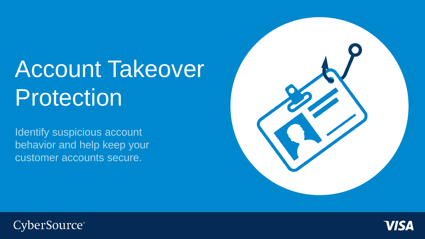# Account Takeover Protection

Identify suspicious account behavior and help keep your customer accounts secure.





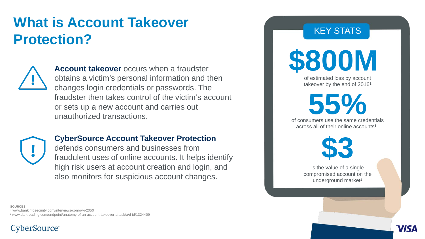## **What is Account Takeover Takeover Takeover Protection?**



**Account takeover** occurs when a fraudster obtains a victim's personal information and then changes login credentials or passwords. The fraudster then takes control of the victim's account or sets up a new account and carries out unauthorized transactions.



#### **CyberSource Account Takeover Protection**

defends consumers and businesses from fraudulent uses of online accounts. It helps identify high risk users at account creation and login, and also monitors for suspicious account changes.

**\$800M** 

of estimated loss by account takeover by the end of 20161

**55%**

of consumers use the same credentials across all of their online accounts<sup>1</sup>



is the value of a single compromised account on the underground market<sup>2</sup>

VIS'

**SOURCES**

<sup>1</sup> www.bankinfosecurity.com/interviews/conroy-i-2050 2 www.darkreading.com/endpoint/anatomy-of-an-account-takeover-attack/a/d-id/1324409

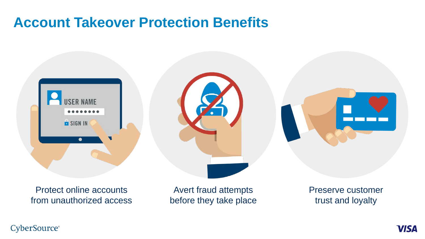### **Account Takeover Protection Benefits**



Protect online accounts from unauthorized access

Avert fraud attempts before they take place Preserve customer trust and loyalty

#### **CyberSource®**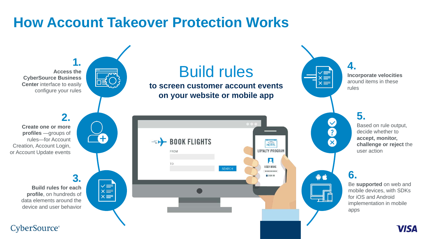### **How Account Takeover Protection Works**

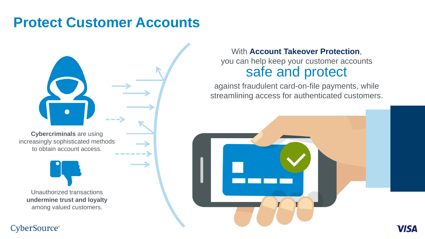### **Protect Customer Accounts**



**CyberSource**®

### With **Account Takeover Protection**, you can help keep your customer accounts safe and protect

against fraudulent card-on-file payments, while streamlining access for authenticated customers.